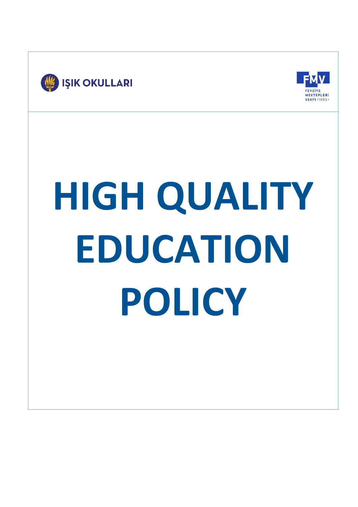



# **HIGH QUALITY EDUCATION POLICY**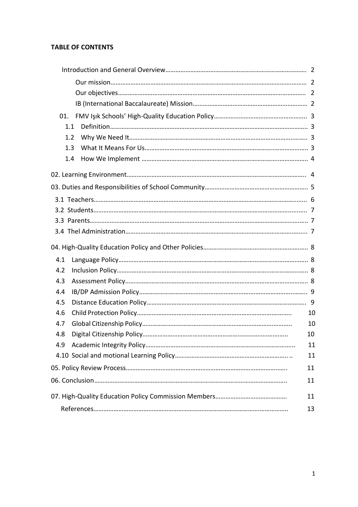## **TABLE OF CONTENTS**

| 01. |    |
|-----|----|
| 1.1 |    |
| 1.2 |    |
| 1.3 |    |
| 1.4 |    |
|     |    |
|     |    |
|     |    |
|     |    |
|     |    |
|     |    |
|     |    |
|     |    |
| 4.1 |    |
| 4.2 |    |
| 4.3 |    |
| 4.4 |    |
| 4.5 |    |
| 4.6 | 10 |
| 4.7 | 10 |
| 4.8 | 10 |
| 4.9 | 11 |
|     | 11 |
|     | 11 |
|     | 11 |
|     | 11 |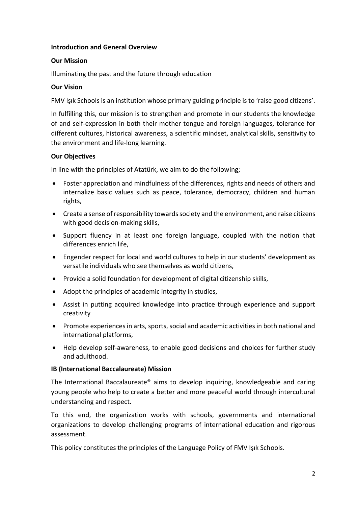#### **Introduction and General Overview**

## **Our Mission**

Illuminating the past and the future through education

## **Our Vision**

FMV Işık Schools is an institution whose primary guiding principle is to 'raise good citizens'.

In fulfilling this, our mission is to strengthen and promote in our students the knowledge of and self-expression in both their mother tongue and foreign languages, tolerance for different cultures, historical awareness, a scientific mindset, analytical skills, sensitivity to the environment and life-long learning.

## **Our Objectives**

In line with the principles of Atatürk, we aim to do the following;

- Foster appreciation and mindfulness of the differences, rights and needs of others and internalize basic values such as peace, tolerance, democracy, children and human rights,
- Create a sense of responsibility towards society and the environment, and raise citizens with good decision-making skills,
- Support fluency in at least one foreign language, coupled with the notion that differences enrich life,
- Engender respect for local and world cultures to help in our students' development as versatile individuals who see themselves as world citizens,
- Provide a solid foundation for development of digital citizenship skills,
- Adopt the principles of academic integrity in studies,
- Assist in putting acquired knowledge into practice through experience and support creativity
- Promote experiences in arts, sports, social and academic activities in both national and international platforms,
- Help develop self-awareness, to enable good decisions and choices for further study and adulthood.

#### **IB (International Baccalaureate) Mission**

The International Baccalaureate® aims to develop inquiring, knowledgeable and caring young people who help to create a better and more peaceful world through intercultural understanding and respect.

To this end, the organization works with schools, governments and international organizations to develop challenging programs of international education and rigorous assessment.

This policy constitutes the principles of the Language Policy of FMV Işık Schools.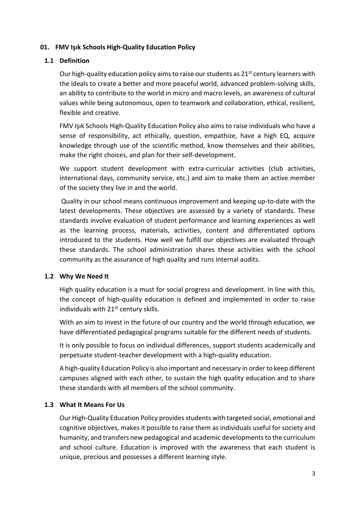## **01. FMV Işık Schools High-Quality Education Policy**

## **1.1 Definition**

Our high-quality education policy aims to raise our students as  $21<sup>st</sup>$  century learners with the ideals to create a better and more peaceful world, advanced problem-solving skills, an ability to contribute to the world in micro and macro levels, an awareness of cultural values while being autonomous, open to teamwork and collaboration, ethical, resilient, flexible and creative.

FMV Işık Schools High-Quality Education Policy also aims to raise individuals who have a sense of responsibility, act ethically, question, empathize, have a high EQ, acquire knowledge through use of the scientific method, know themselves and their abilities, make the right choices, and plan for their self-development.

We support student development with extra-curricular activities (club activities, international days, community service, etc.) and aim to make them an active member of the society they live in and the world.

Quality in our school means continuous improvement and keeping up-to-date with the latest developments. These objectives are assessed by a variety of standards. These standards involve evaluation of student performance and learning experiences as well as the learning process, materials, activities, content and differentiated options introduced to the students. How well we fulfill our objectives are evaluated through these standards. The school administration shares these activities with the school community as the assurance of high quality and runs internal audits.

## **1.2 Why We Need It**

High quality education is a must for social progress and development. In line with this, the concept of high-quality education is defined and implemented in order to raise individuals with  $21<sup>st</sup>$  century skills.

With an aim to invest in the future of our country and the world through education, we have differentiated pedagogical programs suitable for the different needs of students.

It is only possible to focus on individual differences, support students academically and perpetuate student-teacher development with a high-quality education.

A high-quality Education Policy is also important and necessary in order to keep different campuses aligned with each other, to sustain the high quality education and to share these standards with all members of the school community.

## **1.3 What It Means For Us**

Our High-Quality Education Policy provides students with targeted social, emotional and cognitive objectives, makes it possible to raise them as individuals useful for society and humanity, and transfers new pedagogical and academic developments to the curriculum and school culture. Education is improved with the awareness that each student is unique, precious and possesses a different learning style.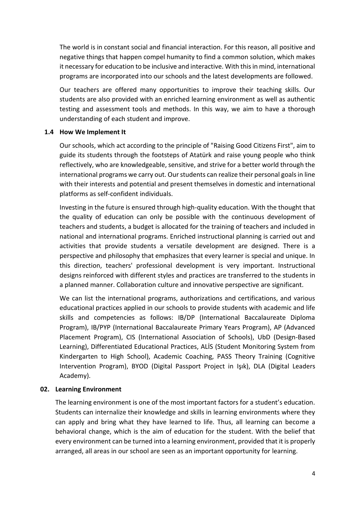The world is in constant social and financial interaction. For this reason, all positive and negative things that happen compel humanity to find a common solution, which makes it necessary for education to be inclusive and interactive. With this in mind, international programs are incorporated into our schools and the latest developments are followed.

Our teachers are offered many opportunities to improve their teaching skills. Our students are also provided with an enriched learning environment as well as authentic testing and assessment tools and methods. In this way, we aim to have a thorough understanding of each student and improve.

## **1.4 How We Implement It**

Our schools, which act according to the principle of "Raising Good Citizens First", aim to guide its students through the footsteps of Atatürk and raise young people who think reflectively, who are knowledgeable, sensitive, and strive for a better world through the international programs we carry out. Our students can realize their personal goals in line with their interests and potential and present themselves in domestic and international platforms as self-confident individuals.

Investing in the future is ensured through high-quality education. With the thought that the quality of education can only be possible with the continuous development of teachers and students, a budget is allocated for the training of teachers and included in national and international programs. Enriched instructional planning is carried out and activities that provide students a versatile development are designed. There is a perspective and philosophy that emphasizes that every learner is special and unique. In this direction, teachers' professional development is very important. Instructional designs reinforced with different styles and practices are transferred to the students in a planned manner. Collaboration culture and innovative perspective are significant.

We can list the international programs, authorizations and certifications, and various educational practices applied in our schools to provide students with academic and life skills and competencies as follows: IB/DP (International Baccalaureate Diploma Program), IB/PYP (International Baccalaureate Primary Years Program), AP (Advanced Placement Program), CIS (International Association of Schools), UbD (Design-Based Learning), Differentiated Educational Practices, ALİS (Student Monitoring System from Kindergarten to High School), Academic Coaching, PASS Theory Training (Cognitive Intervention Program), BYOD (Digital Passport Project in Işık), DLA (Digital Leaders Academy).

#### **02. Learning Environment**

The learning environment is one of the most important factors for a student's education. Students can internalize their knowledge and skills in learning environments where they can apply and bring what they have learned to life. Thus, all learning can become a behavioral change, which is the aim of education for the student. With the belief that every environment can be turned into a learning environment, provided that it is properly arranged, all areas in our school are seen as an important opportunity for learning.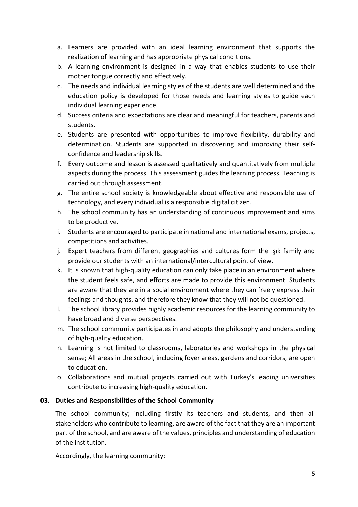- a. Learners are provided with an ideal learning environment that supports the realization of learning and has appropriate physical conditions.
- b. A learning environment is designed in a way that enables students to use their mother tongue correctly and effectively.
- c. The needs and individual learning styles of the students are well determined and the education policy is developed for those needs and learning styles to guide each individual learning experience.
- d. Success criteria and expectations are clear and meaningful for teachers, parents and students.
- e. Students are presented with opportunities to improve flexibility, durability and determination. Students are supported in discovering and improving their selfconfidence and leadership skills.
- f. Every outcome and lesson is assessed qualitatively and quantitatively from multiple aspects during the process. This assessment guides the learning process. Teaching is carried out through assessment.
- g. The entire school society is knowledgeable about effective and responsible use of technology, and every individual is a responsible digital citizen.
- h. The school community has an understanding of continuous improvement and aims to be productive.
- i. Students are encouraged to participate in national and international exams, projects, competitions and activities.
- j. Expert teachers from different geographies and cultures form the Işık family and provide our students with an international/intercultural point of view.
- k. It is known that high-quality education can only take place in an environment where the student feels safe, and efforts are made to provide this environment. Students are aware that they are in a social environment where they can freely express their feelings and thoughts, and therefore they know that they will not be questioned.
- l. The school library provides highly academic resources for the learning community to have broad and diverse perspectives.
- m. The school community participates in and adopts the philosophy and understanding of high-quality education.
- n. Learning is not limited to classrooms, laboratories and workshops in the physical sense; All areas in the school, including foyer areas, gardens and corridors, are open to education.
- o. Collaborations and mutual projects carried out with Turkey's leading universities contribute to increasing high-quality education.

# **03. Duties and Responsibilities of the School Community**

The school community; including firstly its teachers and students, and then all stakeholders who contribute to learning, are aware of the fact that they are an important part of the school, and are aware of the values, principles and understanding of education of the institution.

Accordingly, the learning community;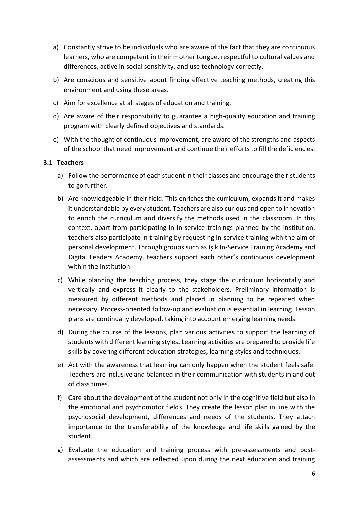- a) Constantly strive to be individuals who are aware of the fact that they are continuous learners, who are competent in their mother tongue, respectful to cultural values and differences, active in social sensitivity, and use technology correctly.
- b) Are conscious and sensitive about finding effective teaching methods, creating this environment and using these areas.
- c) Aim for excellence at all stages of education and training.
- d) Are aware of their responsibility to guarantee a high-quality education and training program with clearly defined objectives and standards.
- e) With the thought of continuous improvement, are aware of the strengths and aspects of the school that need improvement and continue their efforts to fill the deficiencies.

# **3.1 Teachers**

- a) Follow the performance of each student in their classes and encourage their students to go further.
- b) Are knowledgeable in their field. This enriches the curriculum, expands it and makes it understandable by every student. Teachers are also curious and open to innovation to enrich the curriculum and diversify the methods used in the classroom. In this context, apart from participating in in-service trainings planned by the institution, teachers also participate in training by requesting in-service training with the aim of personal development. Through groups such as Işık In-Service Training Academy and Digital Leaders Academy, teachers support each other's continuous development within the institution.
- c) While planning the teaching process, they stage the curriculum horizontally and vertically and express it clearly to the stakeholders. Preliminary information is measured by different methods and placed in planning to be repeated when necessary. Process-oriented follow-up and evaluation is essential in learning. Lesson plans are continually developed, taking into account emerging learning needs.
- d) During the course of the lessons, plan various activities to support the learning of students with different learning styles. Learning activities are prepared to provide life skills by covering different education strategies, learning styles and techniques.
- e) Act with the awareness that learning can only happen when the student feels safe. Teachers are inclusive and balanced in their communication with students in and out of class times.
- f) Care about the development of the student not only in the cognitive field but also in the emotional and psychomotor fields. They create the lesson plan in line with the psychosocial development, differences and needs of the students. They attach importance to the transferability of the knowledge and life skills gained by the student.
- g) Evaluate the education and training process with pre-assessments and postassessments and which are reflected upon during the next education and training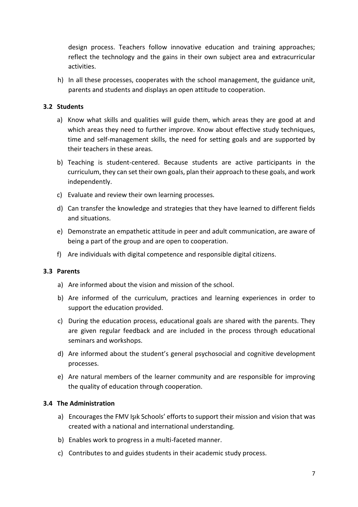design process. Teachers follow innovative education and training approaches; reflect the technology and the gains in their own subject area and extracurricular activities.

h) In all these processes, cooperates with the school management, the guidance unit, parents and students and displays an open attitude to cooperation.

## **3.2 Students**

- a) Know what skills and qualities will guide them, which areas they are good at and which areas they need to further improve. Know about effective study techniques, time and self-management skills, the need for setting goals and are supported by their teachers in these areas.
- b) Teaching is student-centered. Because students are active participants in the curriculum, they can set their own goals, plan their approach to these goals, and work independently.
- c) Evaluate and review their own learning processes.
- d) Can transfer the knowledge and strategies that they have learned to different fields and situations.
- e) Demonstrate an empathetic attitude in peer and adult communication, are aware of being a part of the group and are open to cooperation.
- f) Are individuals with digital competence and responsible digital citizens.

## **3.3 Parents**

- a) Are informed about the vision and mission of the school.
- b) Are informed of the curriculum, practices and learning experiences in order to support the education provided.
- c) During the education process, educational goals are shared with the parents. They are given regular feedback and are included in the process through educational seminars and workshops.
- d) Are informed about the student's general psychosocial and cognitive development processes.
- e) Are natural members of the learner community and are responsible for improving the quality of education through cooperation.

## **3.4 The Administration**

- a) Encourages the FMV Işık Schools' efforts to support their mission and vision that was created with a national and international understanding.
- b) Enables work to progress in a multi-faceted manner.
- c) Contributes to and guides students in their academic study process.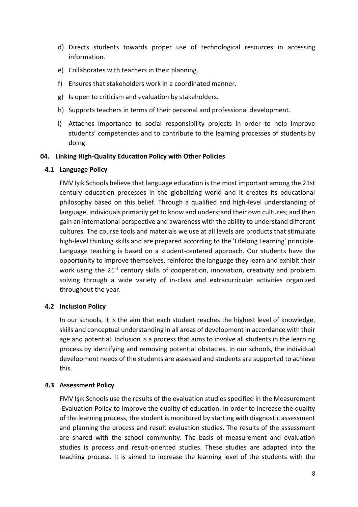- d) Directs students towards proper use of technological resources in accessing information.
- e) Collaborates with teachers in their planning.
- f) Ensures that stakeholders work in a coordinated manner.
- g) Is open to criticism and evaluation by stakeholders.
- h) Supports teachers in terms of their personal and professional development.
- i) Attaches importance to social responsibility projects in order to help improve students' competencies and to contribute to the learning processes of students by doing.

#### **04. Linking High-Quality Education Policy with Other Policies**

## **4.1 Language Policy**

FMV Işık Schools believe that language education is the most important among the 21st century education processes in the globalizing world and it creates its educational philosophy based on this belief. Through a qualified and high-level understanding of language, individuals primarily get to know and understand their own cultures; and then gain an international perspective and awareness with the ability to understand different cultures. The course tools and materials we use at all levels are products that stimulate high-level thinking skills and are prepared according to the 'Lifelong Learning' principle. Language teaching is based on a student-centered approach. Our students have the opportunity to improve themselves, reinforce the language they learn and exhibit their work using the 21<sup>st</sup> century skills of cooperation, innovation, creativity and problem solving through a wide variety of in-class and extracurricular activities organized throughout the year.

## **4.2 Inclusion Policy**

In our schools, it is the aim that each student reaches the highest level of knowledge, skills and conceptual understanding in all areas of development in accordance with their age and potential. Inclusion is a process that aims to involve all students in the learning process by identifying and removing potential obstacles. In our schools, the individual development needs of the students are assessed and students are supported to achieve this.

#### **4.3 Assessment Policy**

FMV Işık Schools use the results of the evaluation studies specified in the Measurement -Evaluation Policy to improve the quality of education. In order to increase the quality of the learning process, the student is monitored by starting with diagnostic assessment and planning the process and result evaluation studies. The results of the assessment are shared with the school community. The basis of measurement and evaluation studies is process and result-oriented studies. These studies are adapted into the teaching process. It is aimed to increase the learning level of the students with the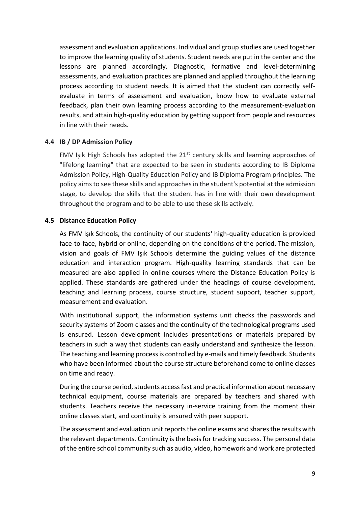assessment and evaluation applications. Individual and group studies are used together to improve the learning quality of students. Student needs are put in the center and the lessons are planned accordingly. Diagnostic, formative and level-determining assessments, and evaluation practices are planned and applied throughout the learning process according to student needs. It is aimed that the student can correctly selfevaluate in terms of assessment and evaluation, know how to evaluate external feedback, plan their own learning process according to the measurement-evaluation results, and attain high-quality education by getting support from people and resources in line with their needs.

## **4.4 IB / DP Admission Policy**

FMV Işık High Schools has adopted the  $21<sup>st</sup>$  century skills and learning approaches of "lifelong learning" that are expected to be seen in students according to IB Diploma Admission Policy, High-Quality Education Policy and IB Diploma Program principles. The policy aims to see these skills and approaches in the student's potential at the admission stage, to develop the skills that the student has in line with their own development throughout the program and to be able to use these skills actively.

## **4.5 Distance Education Policy**

As FMV Işık Schools, the continuity of our students' high-quality education is provided face-to-face, hybrid or online, depending on the conditions of the period. The mission, vision and goals of FMV Işık Schools determine the guiding values of the distance education and interaction program. High-quality learning standards that can be measured are also applied in online courses where the Distance Education Policy is applied. These standards are gathered under the headings of course development, teaching and learning process, course structure, student support, teacher support, measurement and evaluation.

With institutional support, the information systems unit checks the passwords and security systems of Zoom classes and the continuity of the technological programs used is ensured. Lesson development includes presentations or materials prepared by teachers in such a way that students can easily understand and synthesize the lesson. The teaching and learning process is controlled by e-mails and timely feedback. Students who have been informed about the course structure beforehand come to online classes on time and ready.

During the course period, students access fast and practical information about necessary technical equipment, course materials are prepared by teachers and shared with students. Teachers receive the necessary in-service training from the moment their online classes start, and continuity is ensured with peer support.

The assessment and evaluation unit reports the online exams and shares the results with the relevant departments. Continuity is the basis for tracking success. The personal data of the entire school community such as audio, video, homework and work are protected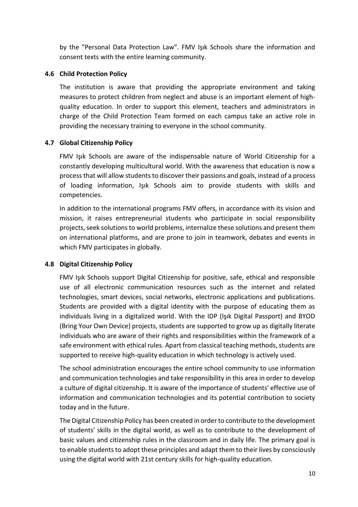by the "Personal Data Protection Law". FMV Işık Schools share the information and consent texts with the entire learning community.

## **4.6 Child Protection Policy**

The institution is aware that providing the appropriate environment and taking measures to protect children from neglect and abuse is an important element of highquality education. In order to support this element, teachers and administrators in charge of the Child Protection Team formed on each campus take an active role in providing the necessary training to everyone in the school community.

# **4.7 Global Citizenship Policy**

FMV Işık Schools are aware of the indispensable nature of World Citizenship for a constantly developing multicultural world. With the awareness that education is now a process that will allow students to discover their passions and goals, instead of a process of loading information, Işık Schools aim to provide students with skills and competencies.

In addition to the international programs FMV offers, in accordance with its vision and mission, it raises entrepreneurial students who participate in social responsibility projects, seek solutions to world problems, internalize these solutions and present them on international platforms, and are prone to join in teamwork, debates and events in which FMV participates in globally.

## **4.8 Digital Citizenship Policy**

FMV Işık Schools support Digital Citizenship for positive, safe, ethical and responsible use of all electronic communication resources such as the internet and related technologies, smart devices, social networks, electronic applications and publications. Students are provided with a digital identity with the purpose of educating them as individuals living in a digitalized world. With the IDP (Işık Digital Passport) and BYOD (Bring Your Own Device) projects, students are supported to grow up as digitally literate individuals who are aware of their rights and responsibilities within the framework of a safe environment with ethical rules. Apart from classical teaching methods, students are supported to receive high-quality education in which technology is actively used.

The school administration encourages the entire school community to use information and communication technologies and take responsibility in this area in order to develop a culture of digital citizenship. It is aware of the importance of students' effective use of information and communication technologies and its potential contribution to society today and in the future.

The Digital Citizenship Policy has been created in order to contribute to the development of students' skills in the digital world, as well as to contribute to the development of basic values and citizenship rules in the classroom and in daily life. The primary goal is to enable students to adopt these principles and adapt them to their lives by consciously using the digital world with 21st century skills for high-quality education.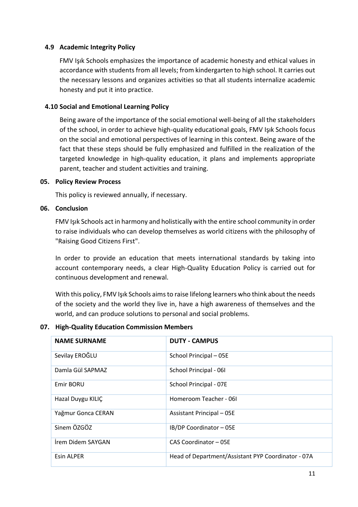## **4.9 Academic Integrity Policy**

FMV Işık Schools emphasizes the importance of academic honesty and ethical values in accordance with students from all levels; from kindergarten to high school. It carries out the necessary lessons and organizes activities so that all students internalize academic honesty and put it into practice.

## **4.10 Social and Emotional Learning Policy**

Being aware of the importance of the social emotional well-being of all the stakeholders of the school, in order to achieve high-quality educational goals, FMV Işık Schools focus on the social and emotional perspectives of learning in this context. Being aware of the fact that these steps should be fully emphasized and fulfilled in the realization of the targeted knowledge in high-quality education, it plans and implements appropriate parent, teacher and student activities and training.

#### **05. Policy Review Process**

This policy is reviewed annually, if necessary.

#### **06. Conclusion**

FMV Işık Schools act in harmony and holistically with the entire school community in order to raise individuals who can develop themselves as world citizens with the philosophy of "Raising Good Citizens First".

In order to provide an education that meets international standards by taking into account contemporary needs, a clear High-Quality Education Policy is carried out for continuous development and renewal.

With this policy, FMV Işık Schools aims to raise lifelong learners who think about the needs of the society and the world they live in, have a high awareness of themselves and the world, and can produce solutions to personal and social problems.

#### **07. High-Quality Education Commission Members**

| <b>NAME SURNAME</b> | <b>DUTY - CAMPUS</b>                               |  |  |  |  |
|---------------------|----------------------------------------------------|--|--|--|--|
| Sevilay EROĞLU      | School Principal - 05E                             |  |  |  |  |
| Damla Gül SAPMAZ    | School Principal - 06I                             |  |  |  |  |
| Emir BORU           | School Principal - 07E                             |  |  |  |  |
| Hazal Duygu KILIÇ   | Homeroom Teacher - 061                             |  |  |  |  |
| Yağmur Gonca CERAN  | <b>Assistant Principal - 05E</b>                   |  |  |  |  |
| Sinem ÖZGÖZ         | IB/DP Coordinator - 05E                            |  |  |  |  |
| İrem Didem SAYGAN   | CAS Coordinator - 05E                              |  |  |  |  |
| <b>Esin ALPER</b>   | Head of Department/Assistant PYP Coordinator - 07A |  |  |  |  |